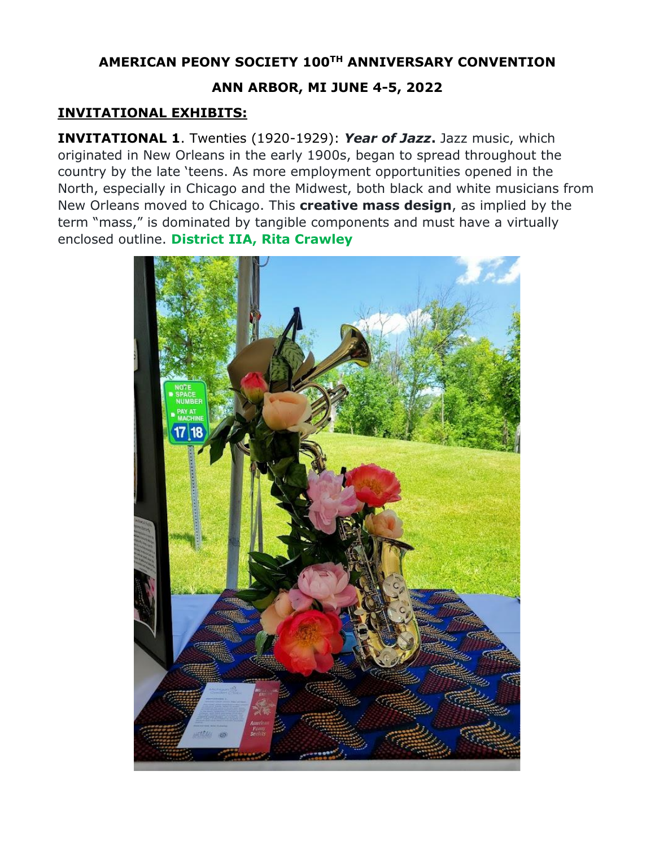## **AMERICAN PEONY SOCIETY 100TH ANNIVERSARY CONVENTION**

## **ANN ARBOR, MI JUNE 4-5, 2022**

## **INVITATIONAL EXHIBITS:**

**INVITATIONAL 1**. Twenties (1920-1929): *Year of Jazz***.** Jazz music, which originated in New Orleans in the early 1900s, began to spread throughout the country by the late 'teens. As more employment opportunities opened in the North, especially in Chicago and the Midwest, both black and white musicians from New Orleans moved to Chicago. This **creative mass design**, as implied by the term "mass," is dominated by tangible components and must have a virtually enclosed outline. **District IIA, Rita Crawley**

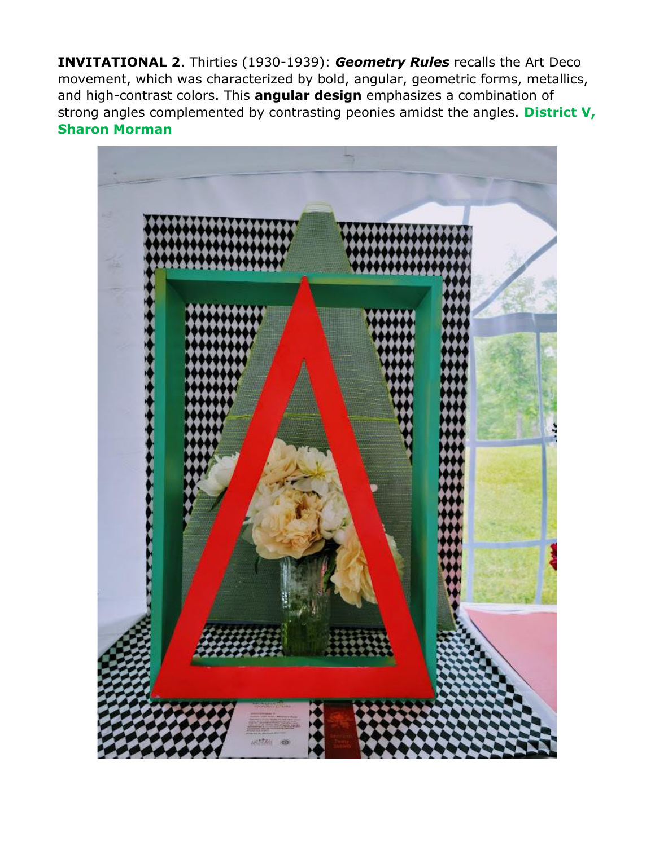**INVITATIONAL 2**. Thirties (1930-1939): *Geometry Rules* recalls the Art Deco movement, which was characterized by bold, angular, geometric forms, metallics, and high-contrast colors. This **angular design** emphasizes a combination of strong angles complemented by contrasting peonies amidst the angles. **District V, Sharon Morman**

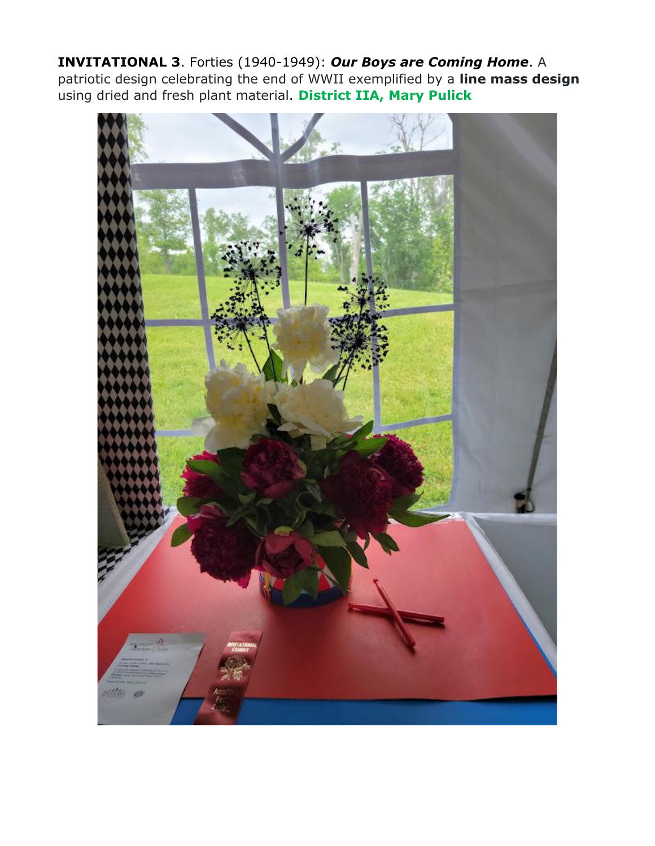**INVITATIONAL 3**. Forties (1940-1949): *Our Boys are Coming Home*. A patriotic design celebrating the end of WWII exemplified by a **line mass design** using dried and fresh plant material. **District IIA, Mary Pulick**

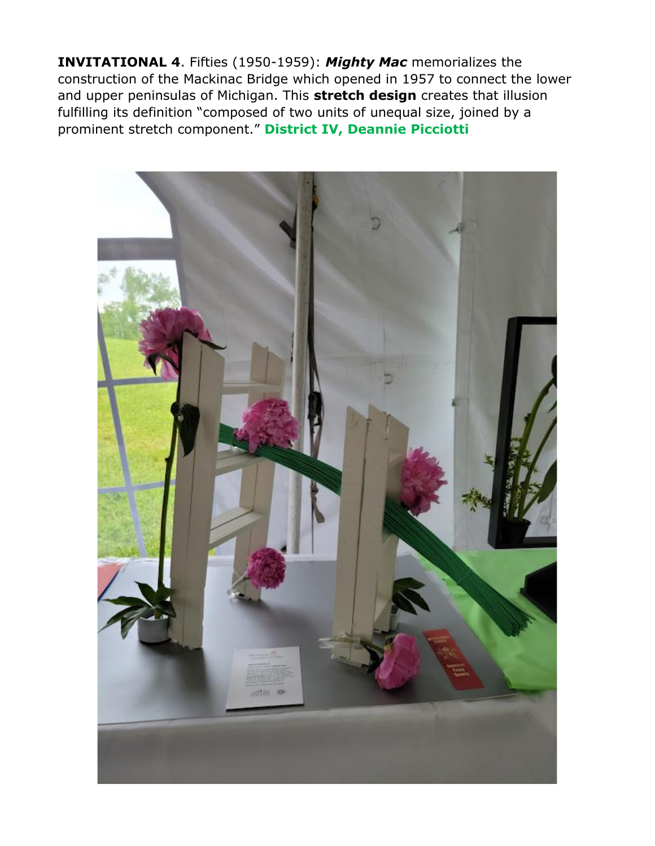**INVITATIONAL 4**. Fifties (1950-1959): *Mighty Mac* memorializes the construction of the Mackinac Bridge which opened in 1957 to connect the lower and upper peninsulas of Michigan. This **stretch design** creates that illusion fulfilling its definition "composed of two units of unequal size, joined by a prominent stretch component." **District IV, Deannie Picciotti**

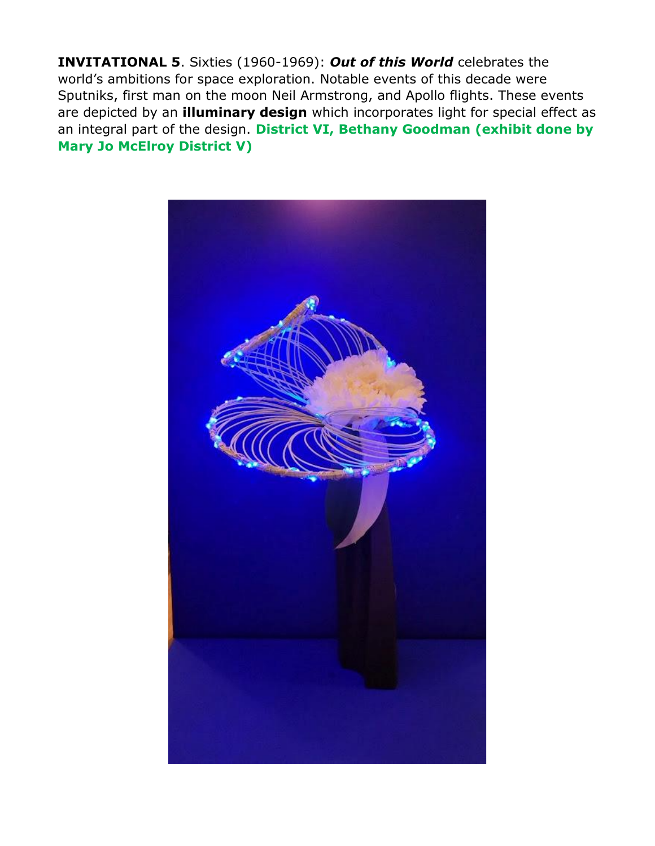**INVITATIONAL 5**. Sixties (1960-1969): *Out of this World* celebrates the world's ambitions for space exploration. Notable events of this decade were Sputniks, first man on the moon Neil Armstrong, and Apollo flights. These events are depicted by an **illuminary design** which incorporates light for special effect as an integral part of the design. **District VI, Bethany Goodman (exhibit done by Mary Jo McElroy District V)**

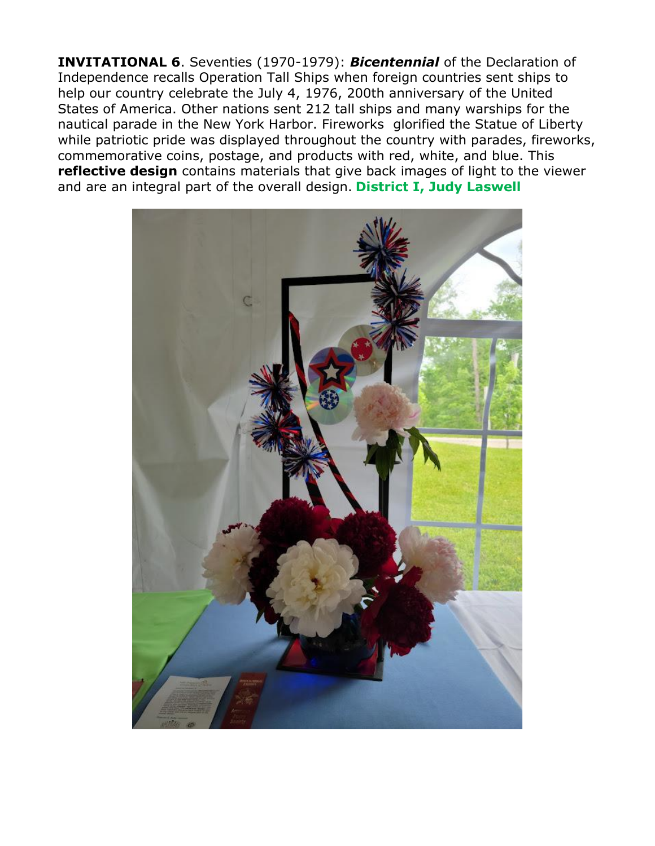**INVITATIONAL 6**. Seventies (1970-1979): *Bicentennial* of the Declaration of Independence recalls Operation Tall Ships when foreign countries sent ships to help our country celebrate the July 4, 1976, 200th anniversary of the United States of America. Other nations sent 212 tall ships and many warships for the nautical parade in the New York Harbor. Fireworks glorified the Statue of Liberty while patriotic pride was displayed throughout the country with parades, fireworks, commemorative coins, postage, and products with red, white, and blue. This **reflective design** contains materials that give back images of light to the viewer and are an integral part of the overall design. **District I, Judy Laswell**

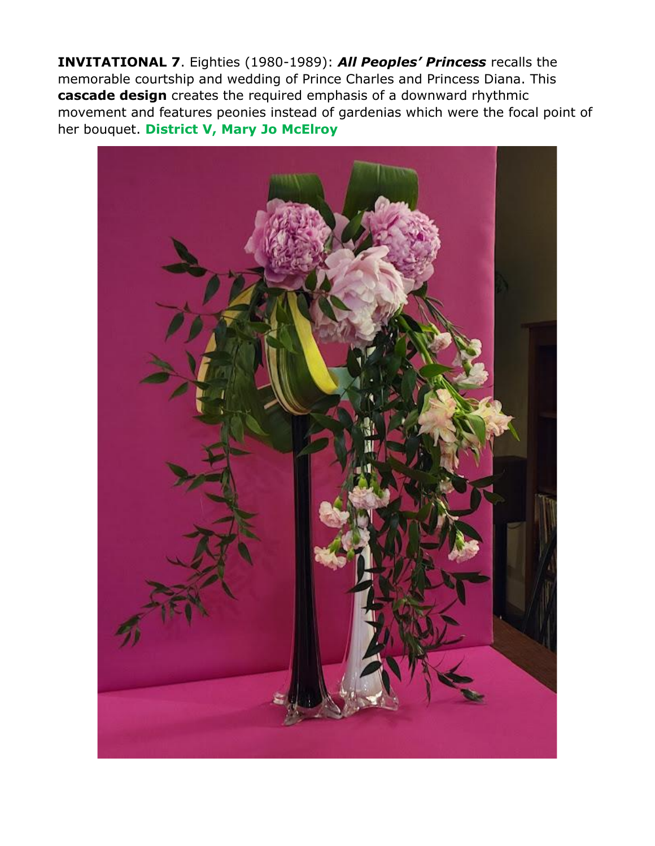**INVITATIONAL 7**. Eighties (1980-1989): *All Peoples' Princess* recalls the memorable courtship and wedding of Prince Charles and Princess Diana. This **cascade design** creates the required emphasis of a downward rhythmic movement and features peonies instead of gardenias which were the focal point of her bouquet. **District V, Mary Jo McElroy**

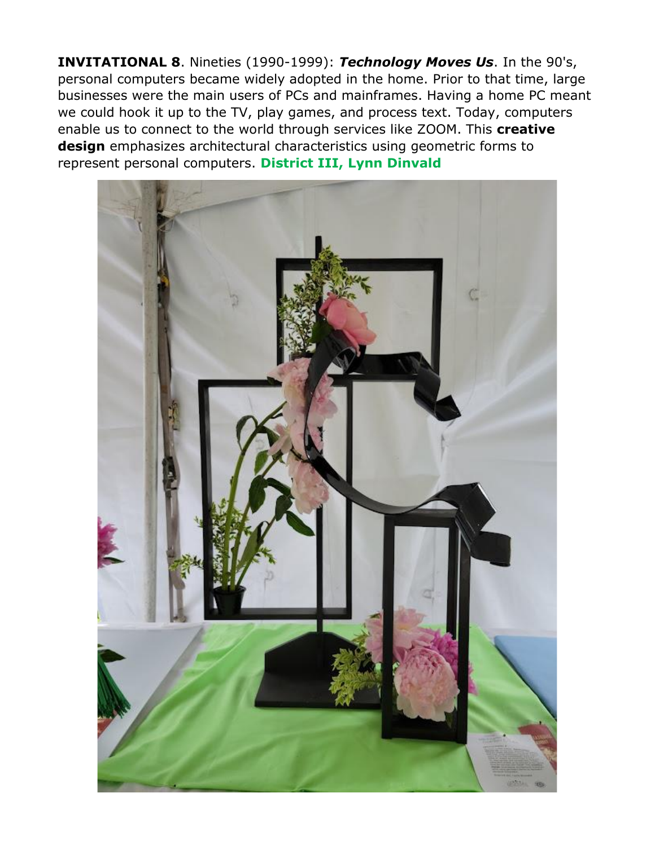**INVITATIONAL 8**. Nineties (1990-1999): *Technology Moves Us*. In the 90's, personal computers became widely adopted in the home. Prior to that time, large businesses were the main users of PCs and mainframes. Having a home PC meant we could hook it up to the TV, play games, and process text. Today, computers enable us to connect to the world through services like ZOOM. This **creative design** emphasizes architectural characteristics using geometric forms to represent personal computers. **District III, Lynn Dinvald**

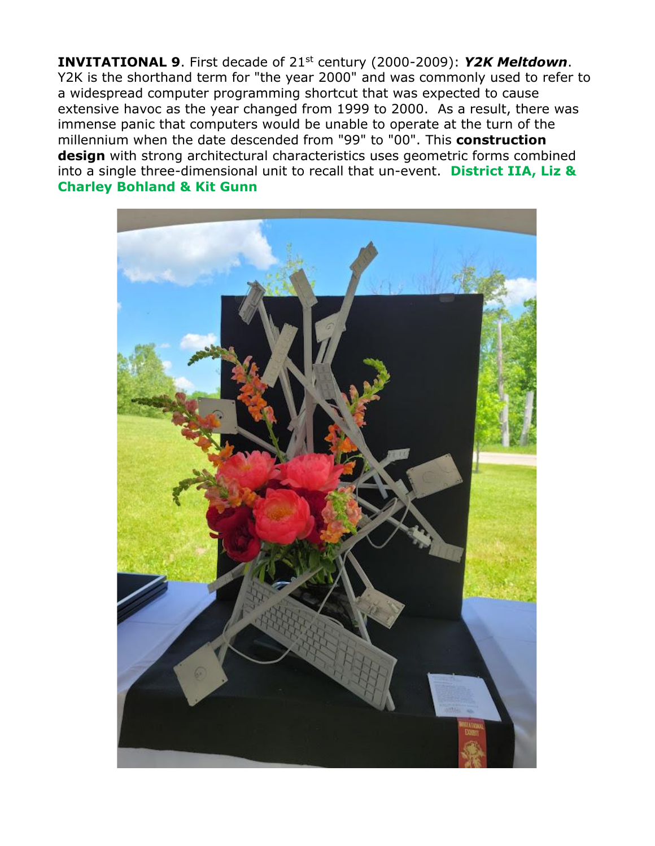**INVITATIONAL 9**. First decade of 21st century (2000-2009): *Y2K Meltdown*. Y2K is the shorthand term for "the year 2000" and was commonly used to refer to a widespread computer programming shortcut that was expected to cause extensive havoc as the year changed from 1999 to 2000. As a result, there was immense panic that computers would be unable to operate at the turn of the millennium when the date descended from "99" to "00". This **construction design** with strong architectural characteristics uses geometric forms combined into a single three-dimensional unit to recall that un-event. **District IIA, Liz & Charley Bohland & Kit Gunn**